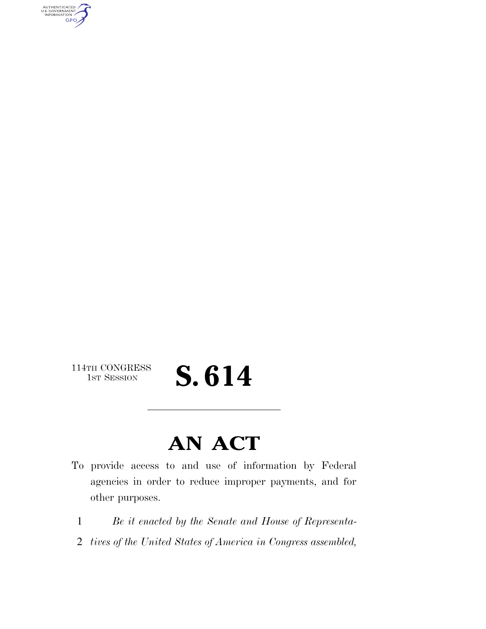AUTHENTICATED<br>U.S. GOVERNMENT<br>INFORMATION GPO

114TH CONGRESS<br>1st Session

## S. 614

### **AN ACT**

- To provide access to and use of information by Federal agencies in order to reduce improper payments, and for other purposes.
	- 1 *Be it enacted by the Senate and House of Representa-*
	- 2 *tives of the United States of America in Congress assembled,*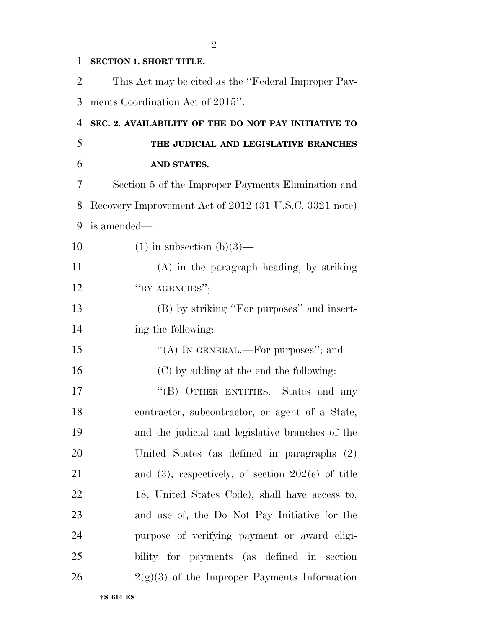#### **SECTION 1. SHORT TITLE.**

| 2  | This Act may be cited as the "Federal Improper Pay-    |
|----|--------------------------------------------------------|
| 3  | ments Coordination Act of 2015".                       |
| 4  | SEC. 2. AVAILABILITY OF THE DO NOT PAY INITIATIVE TO   |
| 5  | THE JUDICIAL AND LEGISLATIVE BRANCHES                  |
| 6  | AND STATES.                                            |
| 7  | Section 5 of the Improper Payments Elimination and     |
| 8  | Recovery Improvement Act of 2012 (31 U.S.C. 3321 note) |
| 9  | is amended—                                            |
| 10 | $(1)$ in subsection $(b)(3)$ —                         |
| 11 | $(A)$ in the paragraph heading, by striking            |
| 12 | "BY AGENCIES";                                         |
| 13 | (B) by striking "For purposes" and insert-             |
| 14 | ing the following:                                     |
| 15 | "(A) IN GENERAL.—For purposes"; and                    |
| 16 | (C) by adding at the end the following:                |
| 17 | "(B) OTHER ENTITIES.—States and any                    |
| 18 | contractor, subcontractor, or agent of a State,        |
| 19 | and the judicial and legislative branches of the       |
| 20 | United States (as defined in paragraphs (2)            |
| 21 | and $(3)$ , respectively, of section $202(e)$ of title |
| 22 | 18, United States Code), shall have access to,         |
| 23 | and use of, the Do Not Pay Initiative for the          |
| 24 | purpose of verifying payment or award eligi-           |
| 25 | bility for payments (as defined in section             |
| 26 | $2(g)(3)$ of the Improper Payments Information         |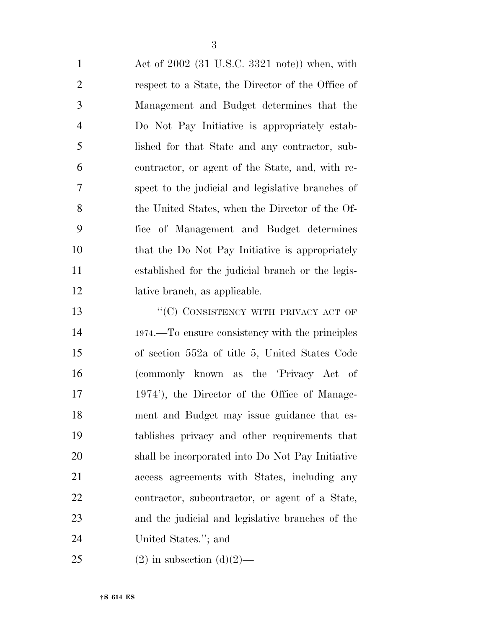Act of 2002 (31 U.S.C. 3321 note)) when, with respect to a State, the Director of the Office of Management and Budget determines that the Do Not Pay Initiative is appropriately estab- lished for that State and any contractor, sub- contractor, or agent of the State, and, with re- spect to the judicial and legislative branches of the United States, when the Director of the Of- fice of Management and Budget determines that the Do Not Pay Initiative is appropriately established for the judicial branch or the legis-lative branch, as applicable.

13 "'(C) CONSISTENCY WITH PRIVACY ACT OF 1974.—To ensure consistency with the principles of section 552a of title 5, United States Code (commonly known as the 'Privacy Act of 1974'), the Director of the Office of Manage- ment and Budget may issue guidance that es- tablishes privacy and other requirements that shall be incorporated into Do Not Pay Initiative access agreements with States, including any contractor, subcontractor, or agent of a State, and the judicial and legislative branches of the United States.''; and

25 (2) in subsection  $(d)(2)$ —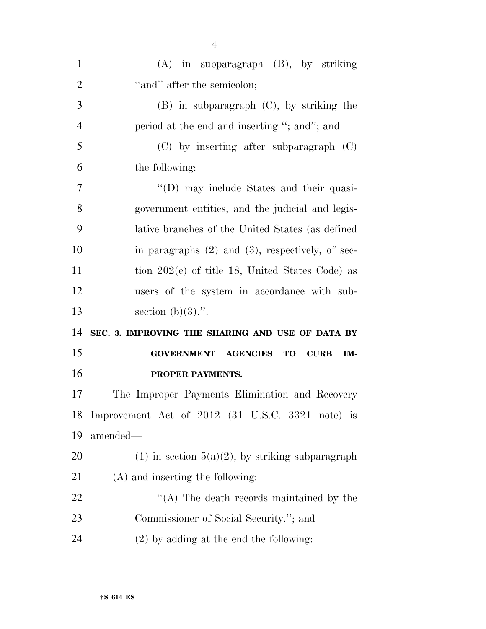| $\mathbf{1}$   | (A) in subparagraph (B), by striking                          |
|----------------|---------------------------------------------------------------|
| $\overline{2}$ | "and" after the semicolon;                                    |
| 3              | $(B)$ in subparagraph $(C)$ , by striking the                 |
| $\overline{4}$ | period at the end and inserting "; and"; and                  |
| 5              | $(C)$ by inserting after subparagraph $(C)$                   |
| 6              | the following:                                                |
| $\overline{7}$ | "(D) may include States and their quasi-                      |
| 8              | government entities, and the judicial and legis-              |
| 9              | lative branches of the United States (as defined              |
| 10             | in paragraphs $(2)$ and $(3)$ , respectively, of sec-         |
| 11             | tion $202(e)$ of title 18, United States Code) as             |
| 12             | users of the system in accordance with sub-                   |
|                |                                                               |
| 13             | section $(b)(3)$ .".                                          |
| 14             | SEC. 3. IMPROVING THE SHARING AND USE OF DATA BY              |
| 15             | <b>GOVERNMENT AGENCIES</b><br><b>TO</b><br><b>CURB</b><br>IM- |
| 16             | PROPER PAYMENTS.                                              |
| 17             | The Improper Payments Elimination and Recovery                |
| 18             | Improvement Act of 2012 (31 U.S.C. 3321 note) is              |
| 19             | amended—                                                      |
| 20             | $(1)$ in section $5(a)(2)$ , by striking subparagraph         |
| 21             | (A) and inserting the following:                              |
| 22             | "(A) The death records maintained by the                      |
| 23             | Commissioner of Social Security."; and                        |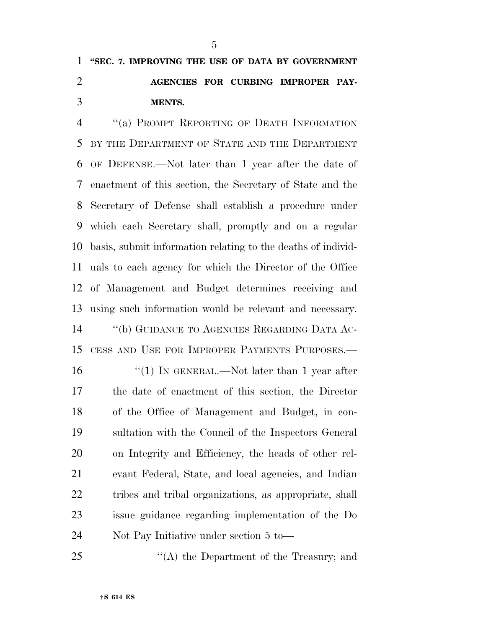### **''SEC. 7. IMPROVING THE USE OF DATA BY GOVERNMENT AGENCIES FOR CURBING IMPROPER PAY-MENTS.**

 ''(a) PROMPT REPORTING OF DEATH INFORMATION BY THE DEPARTMENT OF STATE AND THE DEPARTMENT OF DEFENSE.—Not later than 1 year after the date of enactment of this section, the Secretary of State and the Secretary of Defense shall establish a procedure under which each Secretary shall, promptly and on a regular basis, submit information relating to the deaths of individ- uals to each agency for which the Director of the Office of Management and Budget determines receiving and using such information would be relevant and necessary. ''(b) GUIDANCE TO AGENCIES REGARDING DATA AC- CESS AND USE FOR IMPROPER PAYMENTS PURPOSES.— 16 "(1) IN GENERAL.—Not later than 1 year after the date of enactment of this section, the Director of the Office of Management and Budget, in con- sultation with the Council of the Inspectors General on Integrity and Efficiency, the heads of other rel- evant Federal, State, and local agencies, and Indian tribes and tribal organizations, as appropriate, shall issue guidance regarding implementation of the Do Not Pay Initiative under section 5 to—

25 "(A) the Department of the Treasury; and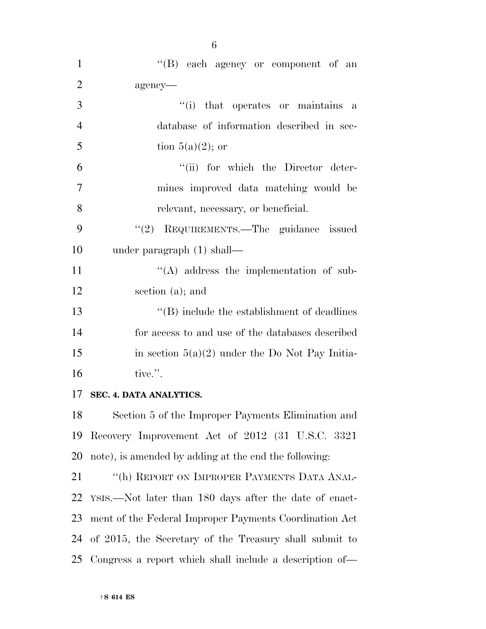| $\mathbf{1}$   | "(B) each agency or component of an                     |
|----------------|---------------------------------------------------------|
| $\overline{2}$ | agency-                                                 |
| 3              | "(i) that operates or maintains a                       |
| $\overline{4}$ | database of information described in sec-               |
| 5              | tion $5(a)(2)$ ; or                                     |
| 6              | "(ii) for which the Director deter-                     |
| 7              | mines improved data matching would be                   |
| 8              | relevant, necessary, or beneficial.                     |
| 9              | "(2) REQUIREMENTS.—The guidance issued                  |
| 10             | under paragraph $(1)$ shall—                            |
| 11             | $\lq\lq$ address the implementation of sub-             |
| 12             | section (a); and                                        |
| 13             | $\lq\lq$ include the establishment of deadlines         |
| 14             | for access to and use of the databases described        |
| 15             | in section $5(a)(2)$ under the Do Not Pay Initia-       |
| 16             | tive.".                                                 |
| 17             | SEC. 4. DATA ANALYTICS.                                 |
|                | 18 Section 5 of the Improper Payments Elimination and   |
| 19             | Recovery Improvement Act of 2012 (31 U.S.C. 3321        |
| 20             | note), is amended by adding at the end the following:   |
| 21             | "(h) REPORT ON IMPROPER PAYMENTS DATA ANAL-             |
| 22             | YSIS.—Not later than 180 days after the date of enact-  |
| 23             | ment of the Federal Improper Payments Coordination Act  |
| 24             | of 2015, the Secretary of the Treasury shall submit to  |
| 25             | Congress a report which shall include a description of— |

6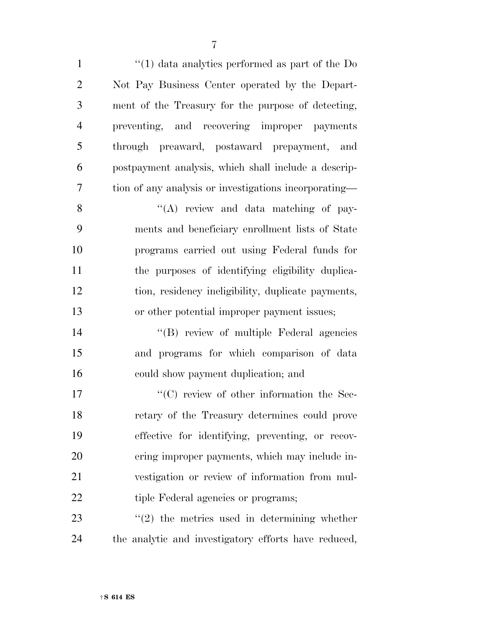1 ''(1) data analytics performed as part of the Do Not Pay Business Center operated by the Depart- ment of the Treasury for the purpose of detecting, preventing, and recovering improper payments through preaward, postaward prepayment, and postpayment analysis, which shall include a descrip-tion of any analysis or investigations incorporating—

8 ''(A) review and data matching of pay- ments and beneficiary enrollment lists of State programs carried out using Federal funds for the purposes of identifying eligibility duplica- tion, residency ineligibility, duplicate payments, or other potential improper payment issues;

 ''(B) review of multiple Federal agencies and programs for which comparison of data could show payment duplication; and

 $\lq\lq$  (C) review of other information the Sec- retary of the Treasury determines could prove effective for identifying, preventing, or recov- ering improper payments, which may include in- vestigation or review of information from mul-22 tiple Federal agencies or programs;

  $\qquad$   $\qquad$   $(2)$  the metrics used in determining whether the analytic and investigatory efforts have reduced,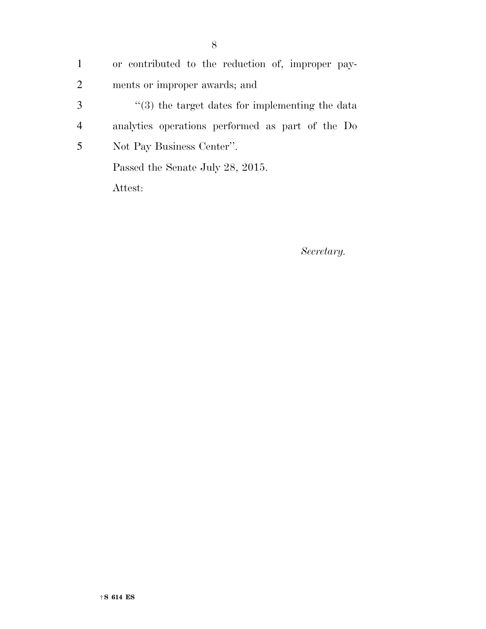or contributed to the reduction of, improper pay- ments or improper awards; and ''(3) the target dates for implementing the data analytics operations performed as part of the Do Not Pay Business Center''. Passed the Senate July 28, 2015. Attest:

*Secretary.*